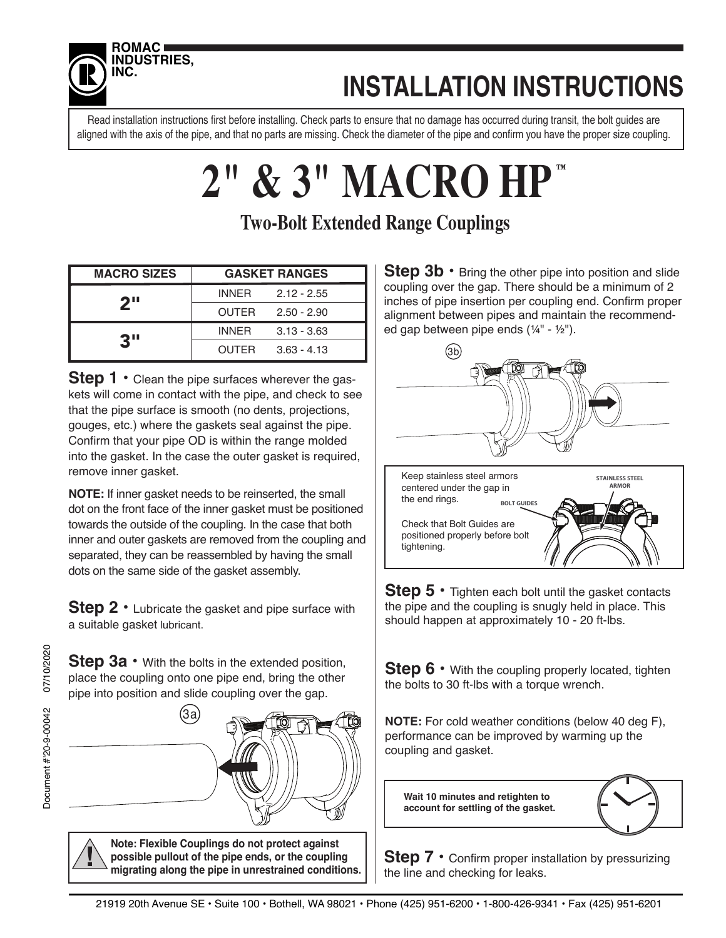

## **INSTALLATION INSTRUCTIONS**

Read installation instructions first before installing. Check parts to ensure that no damage has occurred during transit, the bolt guides are aligned with the axis of the pipe, and that no parts are missing. Check the diameter of the pipe and confirm you have the proper size coupling.

### **2" & 3" MACRO HP ™**

### **Two-Bolt Extended Range Couplings**

| <b>MACRO SIZES</b> | <b>GASKET RANGES</b>          |
|--------------------|-------------------------------|
| 2 <sup>11</sup>    | INNER 2.12 - 2.55             |
|                    | OUTER<br>$2.50 - 2.90$        |
| 3"                 | INNFR.<br>$3.13 - 3.63$       |
|                    | <b>OUTER</b><br>$3.63 - 4.13$ |

**Step 1** • Clean the pipe surfaces wherever the gaskets will come in contact with the pipe, and check to see that the pipe surface is smooth (no dents, projections, gouges, etc.) where the gaskets seal against the pipe. Confirm that your pipe OD is within the range molded into the gasket. In the case the outer gasket is required, remove inner gasket.

**NOTE:** If inner gasket needs to be reinserted, the small dot on the front face of the inner gasket must be positioned towards the outside of the coupling. In the case that both inner and outer gaskets are removed from the coupling and separated, they can be reassembled by having the small dots on the same side of the gasket assembly.

**Step 2** • Lubricate the gasket and pipe surface with a suitable gasket lubricant.

**Step 3a** • With the bolts in the extended position, place the coupling onto one pipe end, bring the other pipe into position and slide coupling over the gap.



**Note: Flexible Couplings do not protect against possible pullout of the pipe ends, or the coupling migrating along the pipe in unrestrained conditions.** **Step 3b** • Bring the other pipe into position and slide coupling over the gap. There should be a minimum of 2 inches of pipe insertion per coupling end. Confirm proper alignment between pipes and maintain the recommended gap between pipe ends (¼" - ½").



**Step 5 •** Tighten each bolt until the gasket contacts the pipe and the coupling is snugly held in place. This should happen at approximately 10 - 20 ft-lbs.

**Step 6** • With the coupling properly located, tighten the bolts to 30 ft-lbs with a torque wrench.

**NOTE:** For cold weather conditions (below 40 deg F), performance can be improved by warming up the coupling and gasket.

**Wait 10 minutes and retighten to account for settling of the gasket.**

![](_page_0_Picture_18.jpeg)

**Step 7** • Confirm proper installation by pressurizing the line and checking for leaks.